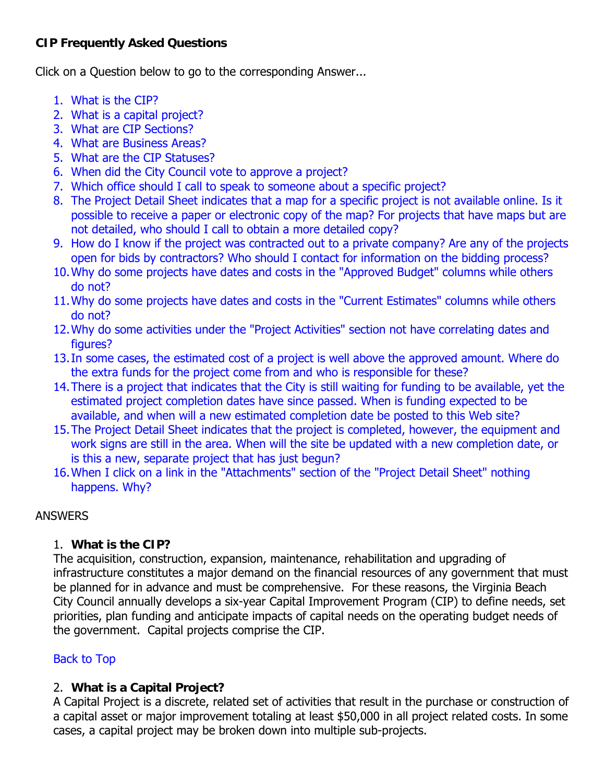## <span id="page-0-0"></span>**CIP Frequently Asked Questions**

Click on a Question below to go to the corresponding Answer...

- 1. What is the CIP?
- 2. What is a capital project?
- 3. [What are CIP Sections?](#page-1-0)
- 4. [What are Business Areas?](#page-1-0)
- 5. [What are the CIP Statuses?](#page-1-0)
- 6. [When did the City Council vote to approve a project?](#page-2-0)
- 7. [Which office should I call to speak to someone about a specific project?](#page-2-0)
- 8. The Project Detail Sheet indicates that a map for a specific project is not available online. Is it [possible to receive a paper or electronic copy of the map? For projects that have maps but are](#page-2-0)  not detailed, who should I call to obtain a more detailed copy?
- 9. [How do I know if the project was contracted out to a private company? Are any of the projects](#page-3-0)  open for bids by contractors? Who should I contact for information on the bidding process?
- [10.Why do some projects have dates and costs in the "Approved Budget" columns while others](#page-3-0)  do not?
- [11.Why do some projects have dates and costs in the "Current Estimates" columns while others](#page-3-0)  do not?
- [12.Why do some activities under the "Project Activities" section not have correlating dates and](#page-3-0)  figures?
- [13.In some cases, the estimated cost of a project is well above the approved amount. Where do](#page-3-0)  the extra funds for the project come from and who is responsible for these?
- [14.There is a project that indicates that the City is still waiting for funding to be available, yet the](#page-4-0)  estimated project completion dates have since passed. When is funding expected to be available, and when will a new estimated completion date be posted to this Web site?
- [15.The Project Detail Sheet indicates that the project is completed, however, the equipment and](#page-4-0)  work signs are still in the area. When will the site be updated with a new completion date, or is this a new, separate project that has just begun?
- [16.When I click on a link in the "Attachments" section of the "Project Detail Sheet" nothing](#page-4-0)  happens. Why?

## **ANSWERS**

## 1. **What is the CIP?**

The acquisition, construction, expansion, maintenance, rehabilitation and upgrading of infrastructure constitutes a major demand on the financial resources of any government that must be planned for in advance and must be comprehensive. For these reasons, the Virginia Beach City Council annually develops a six-year Capital Improvement Program (CIP) to define needs, set priorities, plan funding and anticipate impacts of capital needs on the operating budget needs of the government. Capital projects comprise the CIP.

# Back to Top

## 2. **What is a Capital Project?**

A Capital Project is a discrete, related set of activities that result in the purchase or construction of a capital asset or major improvement totaling at least \$50,000 in all project related costs. In some cases, a capital project may be broken down into multiple sub-projects.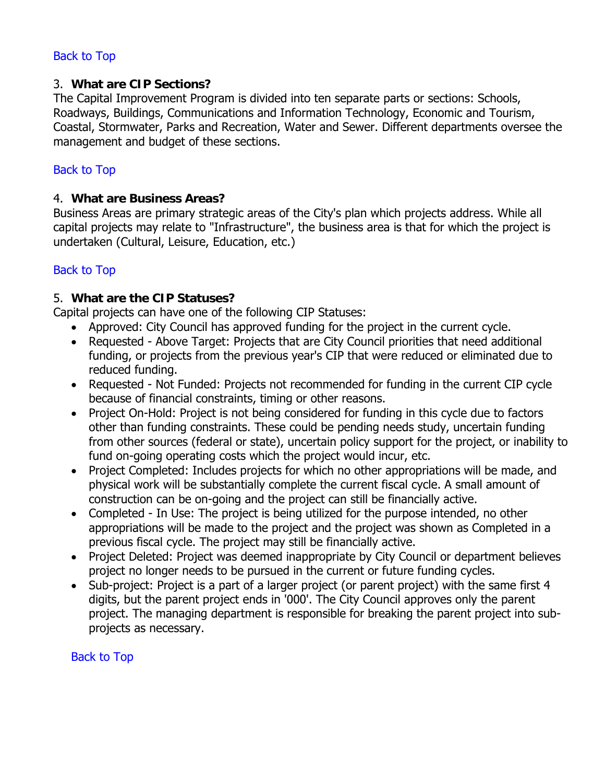## <span id="page-1-0"></span>[Back to Top](#page-0-0)

#### 3. **What are CIP Sections?**

The Capital Improvement Program is divided into ten separate parts or sections: Schools, Roadways, Buildings, Communications and Information Technology, Economic and Tourism, Coastal, Stormwater, Parks and Recreation, Water and Sewer. Different departments oversee the management and budget of these sections.

#### [Back to Top](#page-0-0)

#### 4. **What are Business Areas?**

Business Areas are primary strategic areas of the City's plan which projects address. While all capital projects may relate to "Infrastructure", the business area is that for which the project is undertaken (Cultural, Leisure, Education, etc.)

### [Back to Top](#page-0-0)

#### 5. **What are the CIP Statuses?**

Capital projects can have one of the following CIP Statuses:

- Approved: City Council has approved funding for the project in the current cycle.
- Requested Above Target: Projects that are City Council priorities that need additional funding, or projects from the previous year's CIP that were reduced or eliminated due to reduced funding.
- Requested Not Funded: Projects not recommended for funding in the current CIP cycle because of financial constraints, timing or other reasons.
- Project On-Hold: Project is not being considered for funding in this cycle due to factors other than funding constraints. These could be pending needs study, uncertain funding from other sources (federal or state), uncertain policy support for the project, or inability to fund on-going operating costs which the project would incur, etc.
- Project Completed: Includes projects for which no other appropriations will be made, and physical work will be substantially complete the current fiscal cycle. A small amount of construction can be on-going and the project can still be financially active.
- Completed In Use: The project is being utilized for the purpose intended, no other appropriations will be made to the project and the project was shown as Completed in a previous fiscal cycle. The project may still be financially active.
- Project Deleted: Project was deemed inappropriate by City Council or department believes project no longer needs to be pursued in the current or future funding cycles.
- Sub-project: Project is a part of a larger project (or parent project) with the same first 4 digits, but the parent project ends in '000'. The City Council approves only the parent project. The managing department is responsible for breaking the parent project into subprojects as necessary.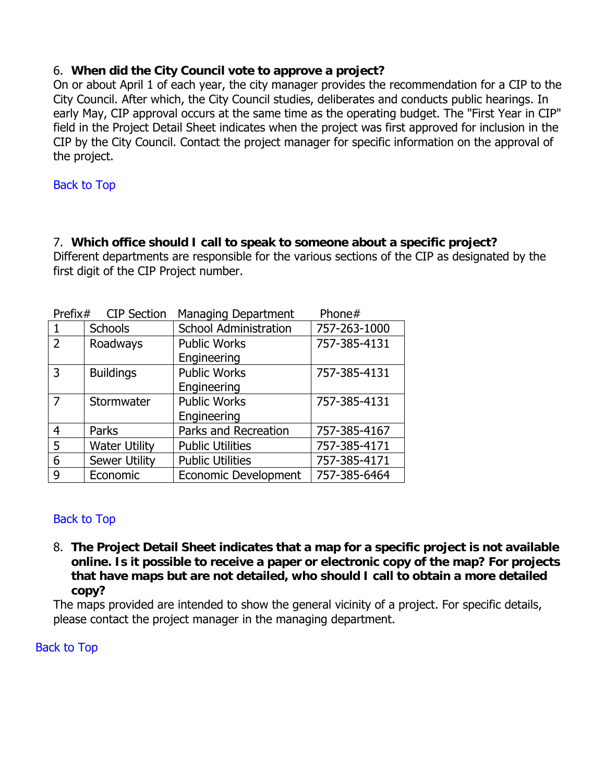## <span id="page-2-0"></span>6. **When did the City Council vote to approve a project?**

On or about April 1 of each year, the city manager provides the recommendation for a CIP to the City Council. After which, the City Council studies, deliberates and conducts public hearings. In early May, CIP approval occurs at the same time as the operating budget. The "First Year in CIP" field in the Project Detail Sheet indicates when the project was first approved for inclusion in the CIP by the City Council. Contact the project manager for specific information on the approval of the project.

### [Back to Top](#page-0-0)

## 7. **Which office should I call to speak to someone about a specific project?**

Different departments are responsible for the various sections of the CIP as designated by the first digit of the CIP Project number.

| <b>CIP Section</b><br>Prefix $#$ |                      | <b>Managing Department</b>   | Phone#       |
|----------------------------------|----------------------|------------------------------|--------------|
| -1                               | <b>Schools</b>       | <b>School Administration</b> | 757-263-1000 |
| $\overline{2}$                   | Roadways             | <b>Public Works</b>          | 757-385-4131 |
|                                  |                      | Engineering                  |              |
| 3                                | <b>Buildings</b>     | <b>Public Works</b>          | 757-385-4131 |
|                                  |                      | Engineering                  |              |
| $\overline{7}$                   | Stormwater           | <b>Public Works</b>          | 757-385-4131 |
|                                  |                      | Engineering                  |              |
| $\overline{4}$                   | Parks                | Parks and Recreation         | 757-385-4167 |
| 5                                | <b>Water Utility</b> | <b>Public Utilities</b>      | 757-385-4171 |
| 6                                | <b>Sewer Utility</b> | <b>Public Utilities</b>      | 757-385-4171 |
| 9                                | Economic             | <b>Economic Development</b>  | 757-385-6464 |

### [Back to Top](#page-0-0)

8. **The Project Detail Sheet indicates that a map for a specific project is not available online. Is it possible to receive a paper or electronic copy of the map? For projects that have maps but are not detailed, who should I call to obtain a more detailed copy?**

The maps provided are intended to show the general vicinity of a project. For specific details, please contact the project manager in the managing department.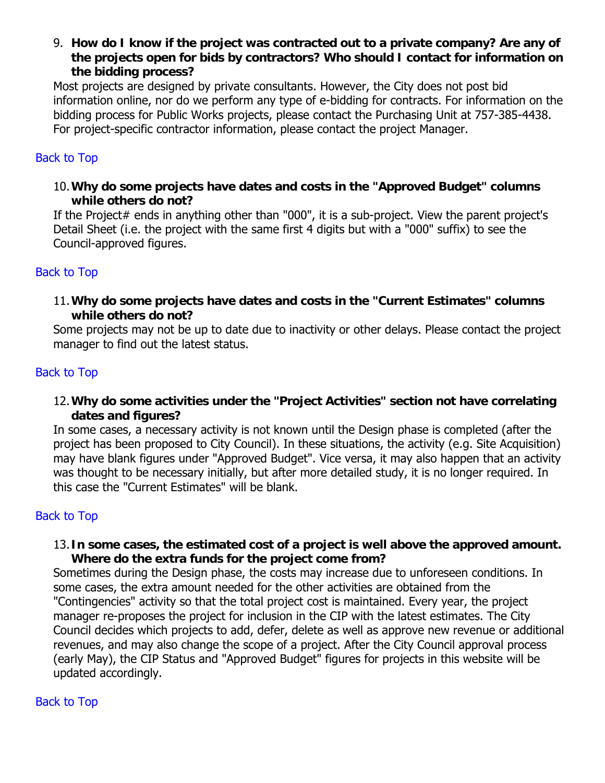<span id="page-3-0"></span>9. **How do I know if the project was contracted out to a private company? Are any of the projects open for bids by contractors? Who should I contact for information on the bidding process?**

Most projects are designed by private consultants. However, the City does not post bid information online, nor do we perform any type of e-bidding for contracts. For information on the bidding process for Public Works projects, please contact the Purchasing Unit at 757-385-4438. For project-specific contractor information, please contact the project Manager.

## [Back to Top](#page-0-0)

10.**Why do some projects have dates and costs in the "Approved Budget" columns while others do not?**

If the Project# ends in anything other than "000", it is a sub-project. View the parent project's Detail Sheet (i.e. the project with the same first 4 digits but with a "000" suffix) to see the Council-approved figures.

### [Back to Top](#page-0-0)

11.**Why do some projects have dates and costs in the "Current Estimates" columns while others do not?**

Some projects may not be up to date due to inactivity or other delays. Please contact the project manager to find out the latest status.

#### [Back to Top](#page-0-0)

12.**Why do some activities under the "Project Activities" section not have correlating dates and figures?**

In some cases, a necessary activity is not known until the Design phase is completed (after the project has been proposed to City Council). In these situations, the activity (e.g. Site Acquisition) may have blank figures under "Approved Budget". Vice versa, it may also happen that an activity was thought to be necessary initially, but after more detailed study, it is no longer required. In this case the "Current Estimates" will be blank.

### [Back to Top](#page-0-0)

#### 13.**In some cases, the estimated cost of a project is well above the approved amount. Where do the extra funds for the project come from?**

Sometimes during the Design phase, the costs may increase due to unforeseen conditions. In some cases, the extra amount needed for the other activities are obtained from the "Contingencies" activity so that the total project cost is maintained. Every year, the project manager re-proposes the project for inclusion in the CIP with the latest estimates. The City Council decides which projects to add, defer, delete as well as approve new revenue or additional revenues, and may also change the scope of a project. After the City Council approval process (early May), the CIP Status and "Approved Budget" figures for projects in this website will be updated accordingly.